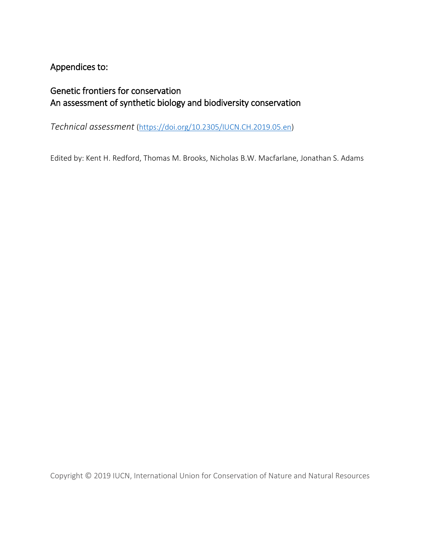# Appendices to:

# Genetic frontiers for conservation An assessment of synthetic biology and biodiversity conservation

*Technical assessment* [\(https://doi.org/10.2305/IUCN.CH.2019.05.en\)](https://doi.org/10.2305/IUCN.CH.2019.05.en)

Edited by: Kent H. Redford, Thomas M. Brooks, Nicholas B.W. Macfarlane, Jonathan S. Adams

Copyright © 2019 IUCN, International Union for Conservation of Nature and Natural Resources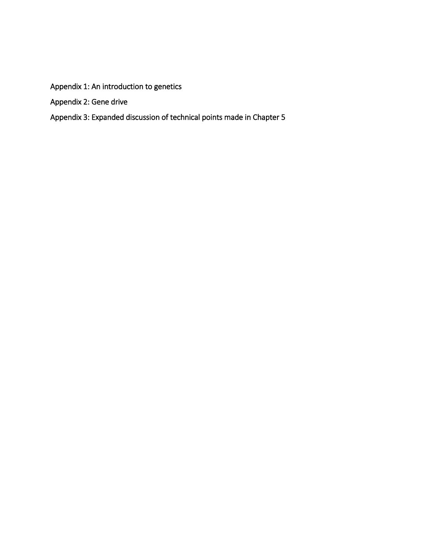Appendix 1: An introduction to genetics

Appendix 2: Gene drive

# Appendix 3: Expanded discussion of technical points made in Chapter 5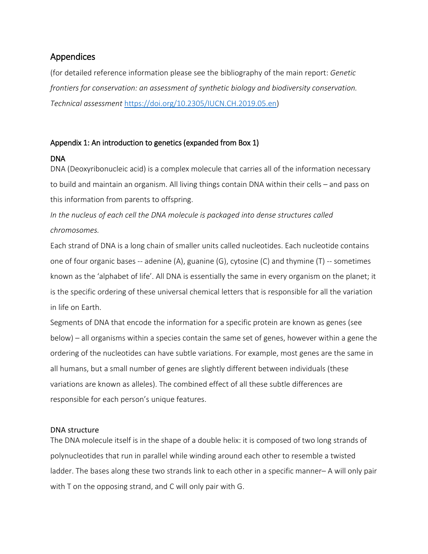# Appendices

(for detailed reference information please see the bibliography of the main report: *Genetic frontiers for conservation: an assessment of synthetic biology and biodiversity conservation. Technical assessment* [https://doi.org/10.2305/IUCN.CH.2019.05.en\)](https://doi.org/10.2305/IUCN.CH.2019.05.en)

# Appendix 1: An introduction to genetics (expanded from Box 1)

## DNA

DNA (Deoxyribonucleic acid) is a complex molecule that carries all of the information necessary to build and maintain an organism. All living things contain DNA within their cells – and pass on this information from parents to offspring.

*In the nucleus of each cell the DNA molecule is packaged into dense structures called chromosomes.*

Each strand of DNA is a long chain of smaller units called nucleotides. Each nucleotide contains one of four organic bases -- adenine (A), guanine (G), cytosine (C) and thymine (T) -- sometimes known as the 'alphabet of life'. All DNA is essentially the same in every organism on the planet; it is the specific ordering of these universal chemical letters that is responsible for all the variation in life on Earth.

Segments of DNA that encode the information for a specific protein are known as genes (see below) – all organisms within a species contain the same set of genes, however within a gene the ordering of the nucleotides can have subtle variations. For example, most genes are the same in all humans, but a small number of genes are slightly different between individuals (these variations are known as alleles). The combined effect of all these subtle differences are responsible for each person's unique features.

## DNA structure

The DNA molecule itself is in the shape of a double helix: it is composed of two long strands of polynucleotides that run in parallel while winding around each other to resemble a twisted ladder. The bases along these two strands link to each other in a specific manner– A will only pair with T on the opposing strand, and C will only pair with G.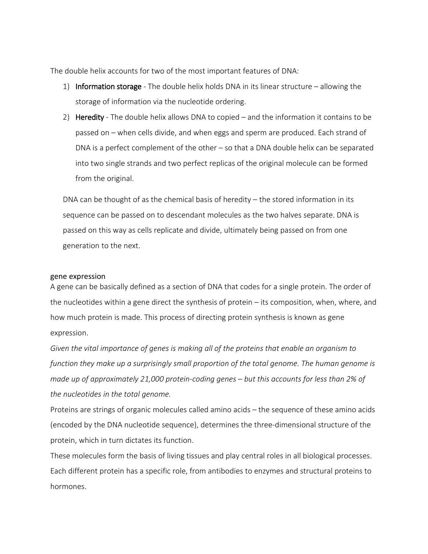The double helix accounts for two of the most important features of DNA:

- 1) Information storage The double helix holds DNA in its linear structure  $-$  allowing the storage of information via the nucleotide ordering.
- 2) Heredity The double helix allows DNA to copied and the information it contains to be passed on – when cells divide, and when eggs and sperm are produced. Each strand of DNA is a perfect complement of the other – so that a DNA double helix can be separated into two single strands and two perfect replicas of the original molecule can be formed from the original.

DNA can be thought of as the chemical basis of heredity – the stored information in its sequence can be passed on to descendant molecules as the two halves separate. DNA is passed on this way as cells replicate and divide, ultimately being passed on from one generation to the next.

#### gene expression

A gene can be basically defined as a section of DNA that codes for a single protein. The order of the nucleotides within a gene direct the synthesis of protein – its composition, when, where, and how much protein is made. This process of directing protein synthesis is known as gene expression.

*Given the vital importance of genes is making all of the proteins that enable an organism to function they make up a surprisingly small proportion of the total genome. The human genome is made up of approximately 21,000 protein-coding genes – but this accounts for less than 2% of the nucleotides in the total genome.*

Proteins are strings of organic molecules called amino acids – the sequence of these amino acids (encoded by the DNA nucleotide sequence), determines the three-dimensional structure of the protein, which in turn dictates its function.

These molecules form the basis of living tissues and play central roles in all biological processes. Each different protein has a specific role, from antibodies to enzymes and structural proteins to hormones.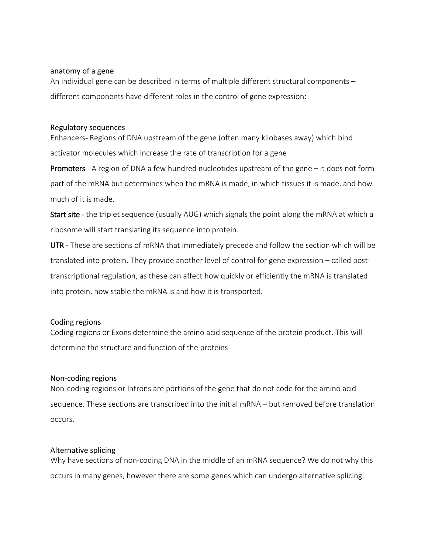#### anatomy of a gene

An individual gene can be described in terms of multiple different structural components – different components have different roles in the control of gene expression:

#### Regulatory sequences

Enhancers- Regions of DNA upstream of the gene (often many kilobases away) which bind activator molecules which increase the rate of transcription for a gene

Promoters - A region of DNA a few hundred nucleotides upstream of the gene – it does not form part of the mRNA but determines when the mRNA is made, in which tissues it is made, and how much of it is made.

Start site - the triplet sequence (usually AUG) which signals the point along the mRNA at which a ribosome will start translating its sequence into protein.

UTR - These are sections of mRNA that immediately precede and follow the section which will be translated into protein. They provide another level of control for gene expression – called posttranscriptional regulation, as these can affect how quickly or efficiently the mRNA is translated into protein, how stable the mRNA is and how it is transported.

### Coding regions

Coding regions or Exons determine the amino acid sequence of the protein product. This will determine the structure and function of the proteins

### Non-coding regions

Non-coding regions or Introns are portions of the gene that do not code for the amino acid sequence. These sections are transcribed into the initial mRNA – but removed before translation occurs.

### Alternative splicing

Why have sections of non-coding DNA in the middle of an mRNA sequence? We do not why this occurs in many genes, however there are some genes which can undergo alternative splicing.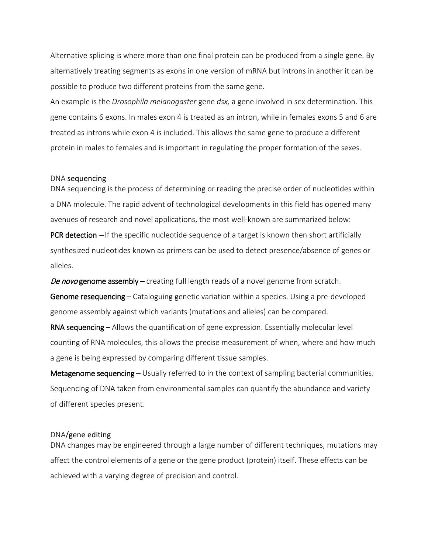Alternative splicing is where more than one final protein can be produced from a single gene. By alternatively treating segments as exons in one version of mRNA but introns in another it can be possible to produce two different proteins from the same gene.

An example is the *Drosophila melanogaster* gene *dsx,* a gene involved in sex determination. This gene contains 6 exons. In males exon 4 is treated as an intron, while in females exons 5 and 6 are treated as introns while exon 4 is included. This allows the same gene to produce a different protein in males to females and is important in regulating the proper formation of the sexes.

#### DNA sequencing

DNA sequencing is the process of determining or reading the precise order of nucleotides within a DNA molecule. The rapid advent of technological developments in this field has opened many avenues of research and novel applications, the most well-known are summarized below:

**PCR detection** – If the specific nucleotide sequence of a target is known then short artificially synthesized nucleotides known as primers can be used to detect presence/absence of genes or alleles.

De novo genome assembly – creating full length reads of a novel genome from scratch.

Genome resequencing – Cataloguing genetic variation within a species. Using a pre-developed genome assembly against which variants (mutations and alleles) can be compared.

RNA sequencing – Allows the quantification of gene expression. Essentially molecular level counting of RNA molecules, this allows the precise measurement of when, where and how much a gene is being expressed by comparing different tissue samples.

Metagenome sequencing – Usually referred to in the context of sampling bacterial communities. Sequencing of DNA taken from environmental samples can quantify the abundance and variety of different species present.

#### DNA/gene editing

DNA changes may be engineered through a large number of different techniques, mutations may affect the control elements of a gene or the gene product (protein) itself. These effects can be achieved with a varying degree of precision and control.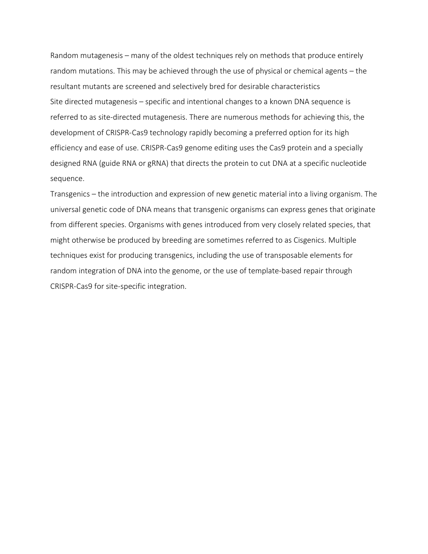Random mutagenesis – many of the oldest techniques rely on methods that produce entirely random mutations. This may be achieved through the use of physical or chemical agents – the resultant mutants are screened and selectively bred for desirable characteristics Site directed mutagenesis – specific and intentional changes to a known DNA sequence is referred to as site-directed mutagenesis. There are numerous methods for achieving this, the development of CRISPR-Cas9 technology rapidly becoming a preferred option for its high efficiency and ease of use. CRISPR-Cas9 genome editing uses the Cas9 protein and a specially designed RNA (guide RNA or gRNA) that directs the protein to cut DNA at a specific nucleotide sequence.

Transgenics – the introduction and expression of new genetic material into a living organism. The universal genetic code of DNA means that transgenic organisms can express genes that originate from different species. Organisms with genes introduced from very closely related species, that might otherwise be produced by breeding are sometimes referred to as Cisgenics. Multiple techniques exist for producing transgenics, including the use of transposable elements for random integration of DNA into the genome, or the use of template-based repair through CRISPR-Cas9 for site-specific integration.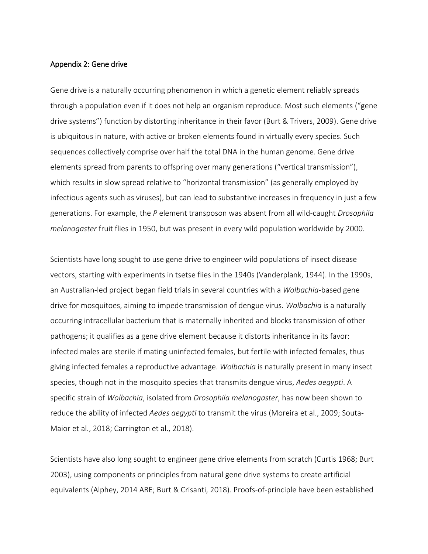#### Appendix 2: Gene drive

Gene drive is a naturally occurring phenomenon in which a genetic element reliably spreads through a population even if it does not help an organism reproduce. Most such elements ("gene drive systems") function by distorting inheritance in their favor (Burt & Trivers, 2009). Gene drive is ubiquitous in nature, with active or broken elements found in virtually every species. Such sequences collectively comprise over half the total DNA in the human genome. Gene drive elements spread from parents to offspring over many generations ("vertical transmission"), which results in slow spread relative to "horizontal transmission" (as generally employed by infectious agents such as viruses), but can lead to substantive increases in frequency in just a few generations. For example, the *P* element transposon was absent from all wild-caught *Drosophila melanogaster* fruit flies in 1950, but was present in every wild population worldwide by 2000.

Scientists have long sought to use gene drive to engineer wild populations of insect disease vectors, starting with experiments in tsetse flies in the 1940s (Vanderplank, 1944). In the 1990s, an Australian-led project began field trials in several countries with a *Wolbachia*-based gene drive for mosquitoes, aiming to impede transmission of dengue virus. *Wolbachia* is a naturally occurring intracellular bacterium that is maternally inherited and blocks transmission of other pathogens; it qualifies as a gene drive element because it distorts inheritance in its favor: infected males are sterile if mating uninfected females, but fertile with infected females, thus giving infected females a reproductive advantage. *Wolbachia* is naturally present in many insect species, though not in the mosquito species that transmits dengue virus, *Aedes aegypti*. A specific strain of *Wolbachia*, isolated from *Drosophila melanogaster*, has now been shown to reduce the ability of infected *Aedes aegypti* to transmit the virus (Moreira et al., 2009; Souta-Maior et al., 2018; Carrington et al., 2018).

Scientists have also long sought to engineer gene drive elements from scratch (Curtis 1968; Burt 2003), using components or principles from natural gene drive systems to create artificial equivalents (Alphey, 2014 ARE; Burt & Crisanti, 2018). Proofs-of-principle have been established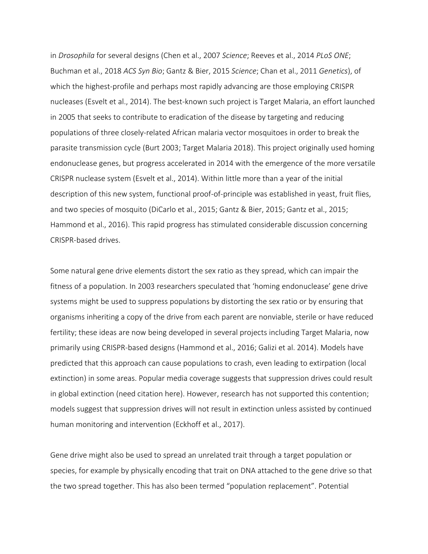in *Drosophila* for several designs (Chen et al., 2007 *Science*; Reeves et al., 2014 *PLoS ONE*; Buchman et al., 2018 *ACS Syn Bio*; Gantz & Bier, 2015 *Science*; Chan et al., 2011 *Genetics*), of which the highest-profile and perhaps most rapidly advancing are those employing CRISPR nucleases (Esvelt et al., 2014). The best-known such project is Target Malaria, an effort launched in 2005 that seeks to contribute to eradication of the disease by targeting and reducing populations of three closely-related African malaria vector mosquitoes in order to break the parasite transmission cycle (Burt 2003; Target Malaria 2018). This project originally used homing endonuclease genes, but progress accelerated in 2014 with the emergence of the more versatile CRISPR nuclease system (Esvelt et al., 2014). Within little more than a year of the initial description of this new system, functional proof-of-principle was established in yeast, fruit flies, and two species of mosquito (DiCarlo et al., 2015; Gantz & Bier, 2015; Gantz et al., 2015; Hammond et al., 2016). This rapid progress has stimulated considerable discussion concerning CRISPR-based drives.

Some natural gene drive elements distort the sex ratio as they spread, which can impair the fitness of a population. In 2003 researchers speculated that 'homing endonuclease' gene drive systems might be used to suppress populations by distorting the sex ratio or by ensuring that organisms inheriting a copy of the drive from each parent are nonviable, sterile or have reduced fertility; these ideas are now being developed in several projects including Target Malaria, now primarily using CRISPR-based designs (Hammond et al., 2016; Galizi et al. 2014). Models have predicted that this approach can cause populations to crash, even leading to extirpation (local extinction) in some areas. Popular media coverage suggests that suppression drives could result in global extinction (need citation here). However, research has not supported this contention; models suggest that suppression drives will not result in extinction unless assisted by continued human monitoring and intervention (Eckhoff et al., 2017).

Gene drive might also be used to spread an unrelated trait through a target population or species, for example by physically encoding that trait on DNA attached to the gene drive so that the two spread together. This has also been termed "population replacement". Potential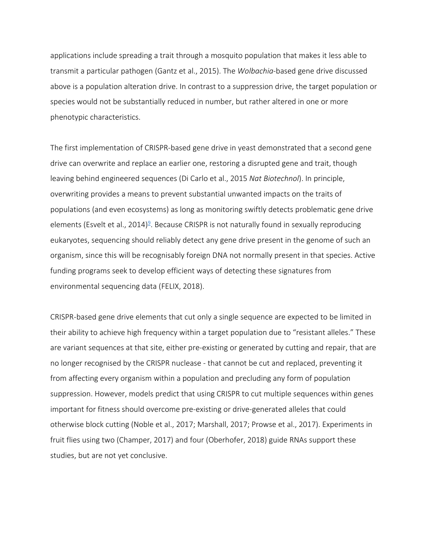applications include spreading a trait through a mosquito population that makes it less able to transmit a particular pathogen (Gantz et al., 2015). The *Wolbachia*-based gene drive discussed above is a population alteration drive. In contrast to a suppression drive, the target population or species would not be substantially reduced in number, but rather altered in one or more phenotypic characteristics.

The first implementation of CRISPR-based gene drive in yeast demonstrated that a second gene drive can overwrite and replace an earlier one, restoring a disrupted gene and trait, though leaving behind engineered sequences (Di Carlo et al., 2015 *Nat Biotechnol*). In principle, overwriting provides a means to prevent substantial unwanted impacts on the traits of populations (and even ecosystems) as long as monitoring swiftly detects problematic gene drive elements (Esvelt et al., 2014)<sup>9</sup>. Because CRISPR is not naturally found in sexually reproducing eukaryotes, sequencing should reliably detect any gene drive present in the genome of such an organism, since this will be recognisably foreign DNA not normally present in that species. Active funding programs seek to develop efficient ways of detecting these signatures from environmental sequencing data (FELIX, 2018).

CRISPR-based gene drive elements that cut only a single sequence are expected to be limited in their ability to achieve high frequency within a target population due to "resistant alleles." These are variant sequences at that site, either pre-existing or generated by cutting and repair, that are no longer recognised by the CRISPR nuclease - that cannot be cut and replaced, preventing it from affecting every organism within a population and precluding any form of population suppression. However, models predict that using CRISPR to cut multiple sequences within genes important for fitness should overcome pre-existing or drive-generated alleles that could otherwise block cutting (Noble et al., 2017; Marshall, 2017; Prowse et al., 2017). Experiments in fruit flies using two (Champer, 2017) and four (Oberhofer, 2018) guide RNAs support these studies, but are not yet conclusive.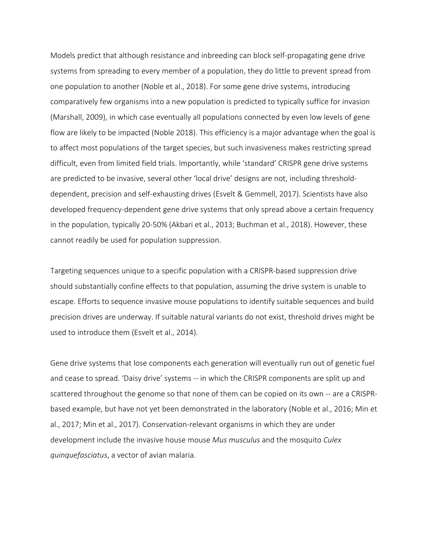Models predict that although resistance and inbreeding can block self-propagating gene drive systems from spreading to every member of a population, they do little to prevent spread from one population to another (Noble et al., 2018). For some gene drive systems, introducing comparatively few organisms into a new population is predicted to typically suffice for invasion (Marshall, 2009), in which case eventually all populations connected by even low levels of gene flow are likely to be impacted (Noble 2018). This efficiency is a major advantage when the goal is to affect most populations of the target species, but such invasiveness makes restricting spread difficult, even from limited field trials. Importantly, while 'standard' CRISPR gene drive systems are predicted to be invasive, several other 'local drive' designs are not, including thresholddependent, precision and self-exhausting drives (Esvelt & Gemmell, 2017). Scientists have also developed frequency-dependent gene drive systems that only spread above a certain frequency in the population, typically 20-50% (Akbari et al., 2013; Buchman et al., 2018). However, these cannot readily be used for population suppression.

Targeting sequences unique to a specific population with a CRISPR-based suppression drive should substantially confine effects to that population, assuming the drive system is unable to escape. Efforts to sequence invasive mouse populations to identify suitable sequences and build precision drives are underway. If suitable natural variants do not exist, threshold drives might be used to introduce them (Esvelt et al., 2014).

Gene drive systems that lose components each generation will eventually run out of genetic fuel and cease to spread. 'Daisy drive' systems -- in which the CRISPR components are split up and scattered throughout the genome so that none of them can be copied on its own -- are a CRISPRbased example, but have not yet been demonstrated in the laboratory (Noble et al., 2016; Min et al., 2017; Min et al., 2017). Conservation-relevant organisms in which they are under development include the invasive house mouse *Mus musculus* and the mosquito *Culex quinquefasciatus*, a vector of avian malaria.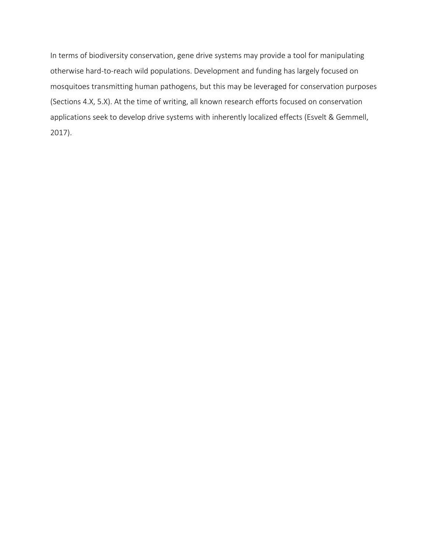In terms of biodiversity conservation, gene drive systems may provide a tool for manipulating otherwise hard-to-reach wild populations. Development and funding has largely focused on mosquitoes transmitting human pathogens, but this may be leveraged for conservation purposes (Sections 4.X, 5.X). At the time of writing, all known research efforts focused on conservation applications seek to develop drive systems with inherently localized effects (Esvelt & Gemmell, 2017).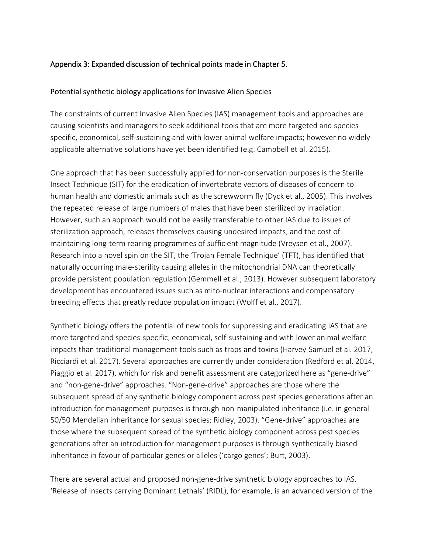## Appendix 3: Expanded discussion of technical points made in Chapter 5.

## Potential synthetic biology applications for Invasive Alien Species

The constraints of current Invasive Alien Species (IAS) management tools and approaches are causing scientists and managers to seek additional tools that are more targeted and speciesspecific, economical, self-sustaining and with lower animal welfare impacts; however no widelyapplicable alternative solutions have yet been identified (e.g. Campbell et al. 2015).

One approach that has been successfully applied for non-conservation purposes is the Sterile Insect Technique (SIT) for the eradication of invertebrate vectors of diseases of concern to human health and domestic animals such as the screwworm fly (Dyck et al., 2005). This involves the repeated release of large numbers of males that have been sterilized by irradiation. However, such an approach would not be easily transferable to other IAS due to issues of sterilization approach, releases themselves causing undesired impacts, and the cost of maintaining long-term rearing programmes of sufficient magnitude (Vreysen et al., 2007). Research into a novel spin on the SIT, the 'Trojan Female Technique' (TFT), has identified that naturally occurring male-sterility causing alleles in the mitochondrial DNA can theoretically provide persistent population regulation (Gemmell et al., 2013). However subsequent laboratory development has encountered issues such as mito-nuclear interactions and compensatory breeding effects that greatly reduce population impact (Wolff et al., 2017).

Synthetic biology offers the potential of new tools for suppressing and eradicating IAS that are more targeted and species-specific, economical, self-sustaining and with lower animal welfare impacts than traditional management tools such as traps and toxins (Harvey-Samuel et al. 2017, Ricciardi et al. 2017). Several approaches are currently under consideration (Redford et al. 2014, Piaggio et al. 2017), which for risk and benefit assessment are categorized here as "gene-drive" and "non-gene-drive" approaches. "Non-gene-drive" approaches are those where the subsequent spread of any synthetic biology component across pest species generations after an introduction for management purposes is through non-manipulated inheritance (i.e. in general 50/50 Mendelian inheritance for sexual species; Ridley, 2003). "Gene-drive" approaches are those where the subsequent spread of the synthetic biology component across pest species generations after an introduction for management purposes is through synthetically biased inheritance in favour of particular genes or alleles ('cargo genes'; Burt, 2003).

There are several actual and proposed non-gene-drive synthetic biology approaches to IAS. 'Release of Insects carrying Dominant Lethals' (RIDL), for example, is an advanced version of the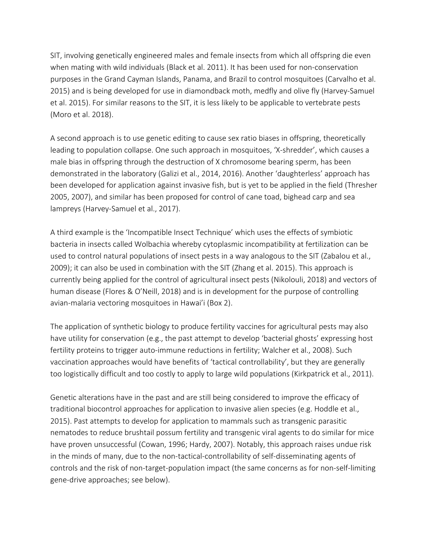SIT, involving genetically engineered males and female insects from which all offspring die even when mating with wild individuals (Black et al. 2011). It has been used for non-conservation purposes in the Grand Cayman Islands, Panama, and Brazil to control mosquitoes (Carvalho et al. 2015) and is being developed for use in diamondback moth, medfly and olive fly (Harvey-Samuel et al. 2015). For similar reasons to the SIT, it is less likely to be applicable to vertebrate pests (Moro et al. 2018).

A second approach is to use genetic editing to cause sex ratio biases in offspring, theoretically leading to population collapse. One such approach in mosquitoes, 'X-shredder', which causes a male bias in offspring through the destruction of X chromosome bearing sperm, has been demonstrated in the laboratory (Galizi et al., 2014, 2016). Another 'daughterless' approach has been developed for application against invasive fish, but is yet to be applied in the field (Thresher 2005, 2007), and similar has been proposed for control of cane toad, bighead carp and sea lampreys (Harvey-Samuel et al., 2017).

A third example is the 'Incompatible Insect Technique' which uses the effects of symbiotic bacteria in insects called Wolbachia whereby cytoplasmic incompatibility at fertilization can be used to control natural populations of insect pests in a way analogous to the SIT (Zabalou et al., 2009); it can also be used in combination with the SIT (Zhang et al. 2015). This approach is currently being applied for the control of agricultural insect pests (Nikolouli, 2018) and vectors of human disease (Flores & O'Neill, 2018) and is in development for the purpose of controlling avian-malaria vectoring mosquitoes in Hawai'i (Box 2).

The application of synthetic biology to produce fertility vaccines for agricultural pests may also have utility for conservation (e.g., the past attempt to develop 'bacterial ghosts' expressing host fertility proteins to trigger auto-immune reductions in fertility; Walcher et al., 2008). Such vaccination approaches would have benefits of 'tactical controllability', but they are generally too logistically difficult and too costly to apply to large wild populations (Kirkpatrick et al., 2011).

Genetic alterations have in the past and are still being considered to improve the efficacy of traditional biocontrol approaches for application to invasive alien species (e.g. Hoddle et al., 2015). Past attempts to develop for application to mammals such as transgenic parasitic nematodes to reduce brushtail possum fertility and transgenic viral agents to do similar for mice have proven unsuccessful (Cowan, 1996; Hardy, 2007). Notably, this approach raises undue risk in the minds of many, due to the non-tactical-controllability of self-disseminating agents of controls and the risk of non-target-population impact (the same concerns as for non-self-limiting gene-drive approaches; see below).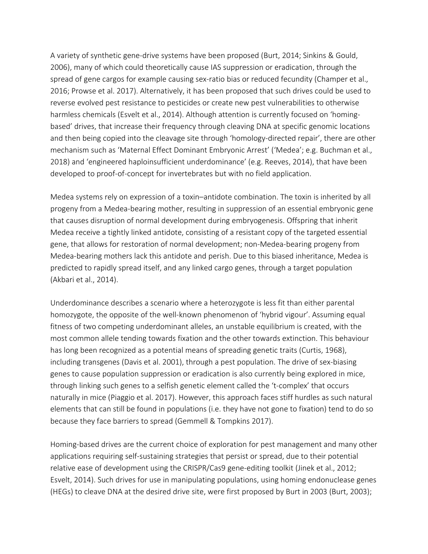A variety of synthetic gene-drive systems have been proposed (Burt, 2014; Sinkins & Gould, 2006), many of which could theoretically cause IAS suppression or eradication, through the spread of gene cargos for example causing sex-ratio bias or reduced fecundity (Champer et al., 2016; Prowse et al. 2017). Alternatively, it has been proposed that such drives could be used to reverse evolved pest resistance to pesticides or create new pest vulnerabilities to otherwise harmless chemicals (Esvelt et al., 2014). Although attention is currently focused on 'homingbased' drives, that increase their frequency through cleaving DNA at specific genomic locations and then being copied into the cleavage site through 'homology-directed repair', there are other mechanism such as 'Maternal Effect Dominant Embryonic Arrest' ('Medea'; e.g. Buchman et al., 2018) and 'engineered haploinsufficient underdominance' (e.g. Reeves, 2014), that have been developed to proof-of-concept for invertebrates but with no field application.

Medea systems rely on expression of a toxin–antidote combination. The toxin is inherited by all progeny from a Medea-bearing mother, resulting in suppression of an essential embryonic gene that causes disruption of normal development during embryogenesis. Offspring that inherit Medea receive a tightly linked antidote, consisting of a resistant copy of the targeted essential gene, that allows for restoration of normal development; non-Medea-bearing progeny from Medea-bearing mothers lack this antidote and perish. Due to this biased inheritance, Medea is predicted to rapidly spread itself, and any linked cargo genes, through a target population (Akbari et al., 2014).

Underdominance describes a scenario where a heterozygote is less fit than either parental homozygote, the opposite of the well-known phenomenon of 'hybrid vigour'. Assuming equal fitness of two competing underdominant alleles, an unstable equilibrium is created, with the most common allele tending towards fixation and the other towards extinction. This behaviour has long been recognized as a potential means of spreading genetic traits (Curtis, 1968), including transgenes (Davis et al. 2001), through a pest population. The drive of sex-biasing genes to cause population suppression or eradication is also currently being explored in mice, through linking such genes to a selfish genetic element called the 't-complex' that occurs naturally in mice (Piaggio et al. 2017). However, this approach faces stiff hurdles as such natural elements that can still be found in populations (i.e. they have not gone to fixation) tend to do so because they face barriers to spread (Gemmell & Tompkins 2017).

Homing-based drives are the current choice of exploration for pest management and many other applications requiring self-sustaining strategies that persist or spread, due to their potential relative ease of development using the CRISPR/Cas9 gene-editing toolkit (Jinek et al., 2012; Esvelt, 2014). Such drives for use in manipulating populations, using homing endonuclease genes (HEGs) to cleave DNA at the desired drive site, were first proposed by Burt in 2003 (Burt, 2003);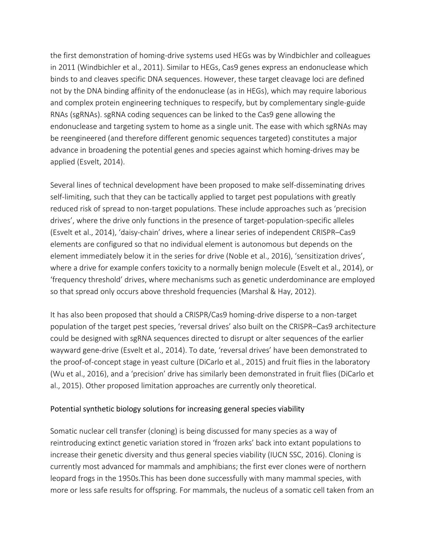the first demonstration of homing-drive systems used HEGs was by Windbichler and colleagues in 2011 (Windbichler et al., 2011). Similar to HEGs, Cas9 genes express an endonuclease which binds to and cleaves specific DNA sequences. However, these target cleavage loci are defined not by the DNA binding affinity of the endonuclease (as in HEGs), which may require laborious and complex protein engineering techniques to respecify, but by complementary single-guide RNAs (sgRNAs). sgRNA coding sequences can be linked to the Cas9 gene allowing the endonuclease and targeting system to home as a single unit. The ease with which sgRNAs may be reengineered (and therefore different genomic sequences targeted) constitutes a major advance in broadening the potential genes and species against which homing-drives may be applied (Esvelt, 2014).

Several lines of technical development have been proposed to make self-disseminating drives self-limiting, such that they can be tactically applied to target pest populations with greatly reduced risk of spread to non-target populations. These include approaches such as 'precision drives', where the drive only functions in the presence of target-population-specific alleles (Esvelt et al., 2014), 'daisy-chain' drives, where a linear series of independent CRISPR–Cas9 elements are configured so that no individual element is autonomous but depends on the element immediately below it in the series for drive (Noble et al., 2016), 'sensitization drives', where a drive for example confers toxicity to a normally benign molecule (Esvelt et al., 2014), or 'frequency threshold' drives, where mechanisms such as genetic underdominance are employed so that spread only occurs above threshold frequencies (Marshal & Hay, 2012).

It has also been proposed that should a CRISPR/Cas9 homing-drive disperse to a non-target population of the target pest species, 'reversal drives' also built on the CRISPR–Cas9 architecture could be designed with sgRNA sequences directed to disrupt or alter sequences of the earlier wayward gene-drive (Esvelt et al., 2014). To date, 'reversal drives' have been demonstrated to the proof-of-concept stage in yeast culture (DiCarlo et al., 2015) and fruit flies in the laboratory (Wu et al., 2016), and a 'precision' drive has similarly been demonstrated in fruit flies (DiCarlo et al., 2015). Other proposed limitation approaches are currently only theoretical.

### Potential synthetic biology solutions for increasing general species viability

Somatic nuclear cell transfer (cloning) is being discussed for many species as a way of reintroducing extinct genetic variation stored in 'frozen arks' back into extant populations to increase their genetic diversity and thus general species viability (IUCN SSC, 2016). Cloning is currently most advanced for mammals and amphibians; the first ever clones were of northern leopard frogs in the 1950s.This has been done successfully with many mammal species, with more or less safe results for offspring. For mammals, the nucleus of a somatic cell taken from an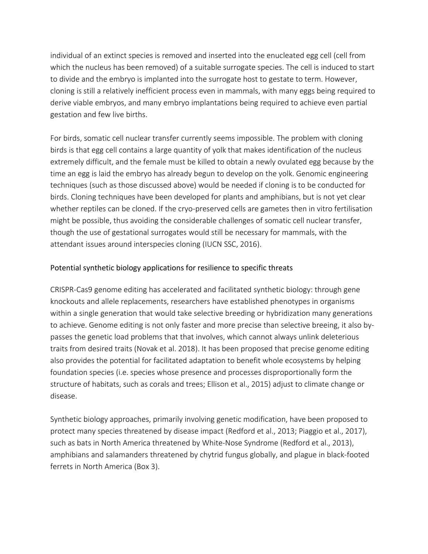individual of an extinct species is removed and inserted into the enucleated egg cell (cell from which the nucleus has been removed) of a suitable surrogate species. The cell is induced to start to divide and the embryo is implanted into the surrogate host to gestate to term. However, cloning is still a relatively inefficient process even in mammals, with many eggs being required to derive viable embryos, and many embryo implantations being required to achieve even partial gestation and few live births.

For birds, somatic cell nuclear transfer currently seems impossible. The problem with cloning birds is that egg cell contains a large quantity of yolk that makes identification of the nucleus extremely difficult, and the female must be killed to obtain a newly ovulated egg because by the time an egg is laid the embryo has already begun to develop on the yolk. Genomic engineering techniques (such as those discussed above) would be needed if cloning is to be conducted for birds. Cloning techniques have been developed for plants and amphibians, but is not yet clear whether reptiles can be cloned. If the cryo-preserved cells are gametes then in vitro fertilisation might be possible, thus avoiding the considerable challenges of somatic cell nuclear transfer, though the use of gestational surrogates would still be necessary for mammals, with the attendant issues around interspecies cloning (IUCN SSC, 2016).

## Potential synthetic biology applications for resilience to specific threats

CRISPR-Cas9 genome editing has accelerated and facilitated synthetic biology: through gene knockouts and allele replacements, researchers have established phenotypes in organisms within a single generation that would take selective breeding or hybridization many generations to achieve. Genome editing is not only faster and more precise than selective breeing, it also bypasses the genetic load problems that that involves, which cannot always unlink deleterious traits from desired traits (Novak et al. 2018). It has been proposed that precise genome editing also provides the potential for facilitated adaptation to benefit whole ecosystems by helping foundation species (i.e. species whose presence and processes disproportionally form the structure of habitats, such as corals and trees; Ellison et al., 2015) adjust to climate change or disease.

Synthetic biology approaches, primarily involving genetic modification, have been proposed to protect many species threatened by disease impact (Redford et al., 2013; Piaggio et al., 2017), such as bats in North America threatened by White-Nose Syndrome (Redford et al., 2013), amphibians and salamanders threatened by chytrid fungus globally, and plague in black-footed ferrets in North America (Box 3).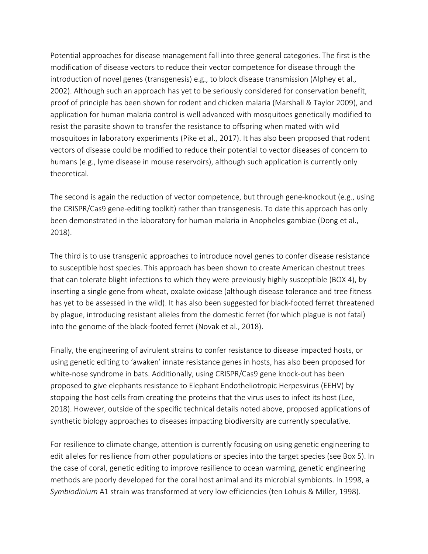Potential approaches for disease management fall into three general categories. The first is the modification of disease vectors to reduce their vector competence for disease through the introduction of novel genes (transgenesis) e.g., to block disease transmission (Alphey et al., 2002). Although such an approach has yet to be seriously considered for conservation benefit, proof of principle has been shown for rodent and chicken malaria (Marshall & Taylor 2009), and application for human malaria control is well advanced with mosquitoes genetically modified to resist the parasite shown to transfer the resistance to offspring when mated with wild mosquitoes in laboratory experiments (Pike et al., 2017). It has also been proposed that rodent vectors of disease could be modified to reduce their potential to vector diseases of concern to humans (e.g., lyme disease in mouse reservoirs), although such application is currently only theoretical.

The second is again the reduction of vector competence, but through gene-knockout (e.g., using the CRISPR/Cas9 gene-editing toolkit) rather than transgenesis. To date this approach has only been demonstrated in the laboratory for human malaria in Anopheles gambiae (Dong et al., 2018).

The third is to use transgenic approaches to introduce novel genes to confer disease resistance to susceptible host species. This approach has been shown to create American chestnut trees that can tolerate blight infections to which they were previously highly susceptible (BOX 4), by inserting a single gene from wheat, oxalate oxidase (although disease tolerance and tree fitness has yet to be assessed in the wild). It has also been suggested for black-footed ferret threatened by plague, introducing resistant alleles from the domestic ferret (for which plague is not fatal) into the genome of the black-footed ferret (Novak et al., 2018).

Finally, the engineering of avirulent strains to confer resistance to disease impacted hosts, or using genetic editing to 'awaken' innate resistance genes in hosts, has also been proposed for white-nose syndrome in bats. Additionally, using CRISPR/Cas9 gene knock-out has been proposed to give elephants resistance to Elephant Endotheliotropic Herpesvirus (EEHV) by stopping the host cells from creating the proteins that the virus uses to infect its host (Lee, 2018). However, outside of the specific technical details noted above, proposed applications of synthetic biology approaches to diseases impacting biodiversity are currently speculative.

For resilience to climate change, attention is currently focusing on using genetic engineering to edit alleles for resilience from other populations or species into the target species (see Box 5). In the case of coral, genetic editing to improve resilience to ocean warming, genetic engineering methods are poorly developed for the coral host animal and its microbial symbionts. In 1998, a *Symbiodinium* A1 strain was transformed at very low efficiencies (ten Lohuis & Miller, 1998).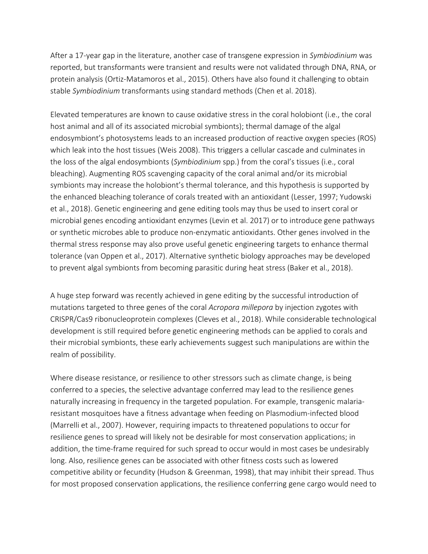After a 17-year gap in the literature, another case of transgene expression in *Symbiodinium* was reported, but transformants were transient and results were not validated through DNA, RNA, or protein analysis (Ortiz-Matamoros et al., 2015). Others have also found it challenging to obtain stable *Symbiodinium* transformants using standard methods (Chen et al. 2018).

Elevated temperatures are known to cause oxidative stress in the coral holobiont (i.e., the coral host animal and all of its associated microbial symbionts); thermal damage of the algal endosymbiont's photosystems leads to an increased production of reactive oxygen species (ROS) which leak into the host tissues (Weis 2008). This triggers a cellular cascade and culminates in the loss of the algal endosymbionts (*Symbiodinium* spp.) from the coral's tissues (i.e., coral bleaching). Augmenting ROS scavenging capacity of the coral animal and/or its microbial symbionts may increase the holobiont's thermal tolerance, and this hypothesis is supported by the enhanced bleaching tolerance of corals treated with an antioxidant (Lesser, 1997; Yudowski et al., 2018). Genetic engineering and gene editing tools may thus be used to insert coral or microbial genes encoding antioxidant enzymes (Levin et al. 2017) or to introduce gene pathways or synthetic microbes able to produce non-enzymatic antioxidants. Other genes involved in the thermal stress response may also prove useful genetic engineering targets to enhance thermal tolerance (van Oppen et al., 2017). Alternative synthetic biology approaches may be developed to prevent algal symbionts from becoming parasitic during heat stress (Baker et al., 2018).

A huge step forward was recently achieved in gene editing by the successful introduction of mutations targeted to three genes of the coral *Acropora millepora* by injection zygotes with CRISPR/Cas9 ribonucleoprotein complexes (Cleves et al., 2018). While considerable technological development is still required before genetic engineering methods can be applied to corals and their microbial symbionts, these early achievements suggest such manipulations are within the realm of possibility.

Where disease resistance, or resilience to other stressors such as climate change, is being conferred to a species, the selective advantage conferred may lead to the resilience genes naturally increasing in frequency in the targeted population. For example, transgenic malariaresistant mosquitoes have a fitness advantage when feeding on Plasmodium-infected blood (Marrelli et al., 2007). However, requiring impacts to threatened populations to occur for resilience genes to spread will likely not be desirable for most conservation applications; in addition, the time-frame required for such spread to occur would in most cases be undesirably long. Also, resilience genes can be associated with other fitness costs such as lowered competitive ability or fecundity (Hudson & Greenman, 1998), that may inhibit their spread. Thus for most proposed conservation applications, the resilience conferring gene cargo would need to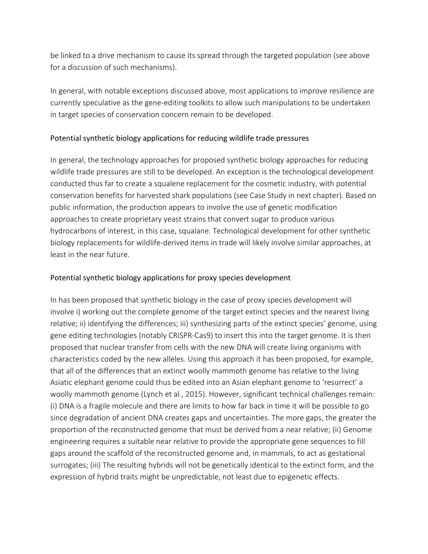be linked to a drive mechanism to cause its spread through the targeted population (see above for a discussion of such mechanisms).

In general, with notable exceptions discussed above, most applications to improve resilience are currently speculative as the gene-editing toolkits to allow such manipulations to be undertaken in target species of conservation concern remain to be developed.

## Potential synthetic biology applications for reducing wildlife trade pressures

In general, the technology approaches for proposed synthetic biology approaches for reducing wildlife trade pressures are still to be developed. An exception is the technological development conducted thus far to create a squalene replacement for the cosmetic industry, with potential conservation benefits for harvested shark populations (see Case Study in next chapter). Based on public information, the production appears to involve the use of genetic modification approaches to create proprietary yeast strains that convert sugar to produce various hydrocarbons of interest, in this case, squalane. Technological development for other synthetic biology replacements for wildlife-derived items in trade will likely involve similar approaches, at least in the near future.

## Potential synthetic biology applications for proxy species development

In has been proposed that synthetic biology in the case of proxy species development will involve i) working out the complete genome of the target extinct species and the nearest living relative; ii) identifying the differences; iii) synthesizing parts of the extinct species' genome, using gene editing technologies (notably CRISPR-Cas9) to insert this into the target genome. It is then proposed that nuclear transfer from cells with the new DNA will create living organisms with characteristics coded by the new alleles. Using this approach it has been proposed, for example, that all of the differences that an extinct woolly mammoth genome has relative to the living Asiatic elephant genome could thus be edited into an Asian elephant genome to 'resurrect' a woolly mammoth genome (Lynch et al., 2015). However, significant technical challenges remain: (i) DNA is a fragile molecule and there are limits to how far back in time it will be possible to go since degradation of ancient DNA creates gaps and uncertainties. The more gaps, the greater the proportion of the reconstructed genome that must be derived from a near relative; (ii) Genome engineering requires a suitable near relative to provide the appropriate gene sequences to fill gaps around the scaffold of the reconstructed genome and, in mammals, to act as gestational surrogates; (iii) The resulting hybrids will not be genetically identical to the extinct form, and the expression of hybrid traits might be unpredictable, not least due to epigenetic effects.